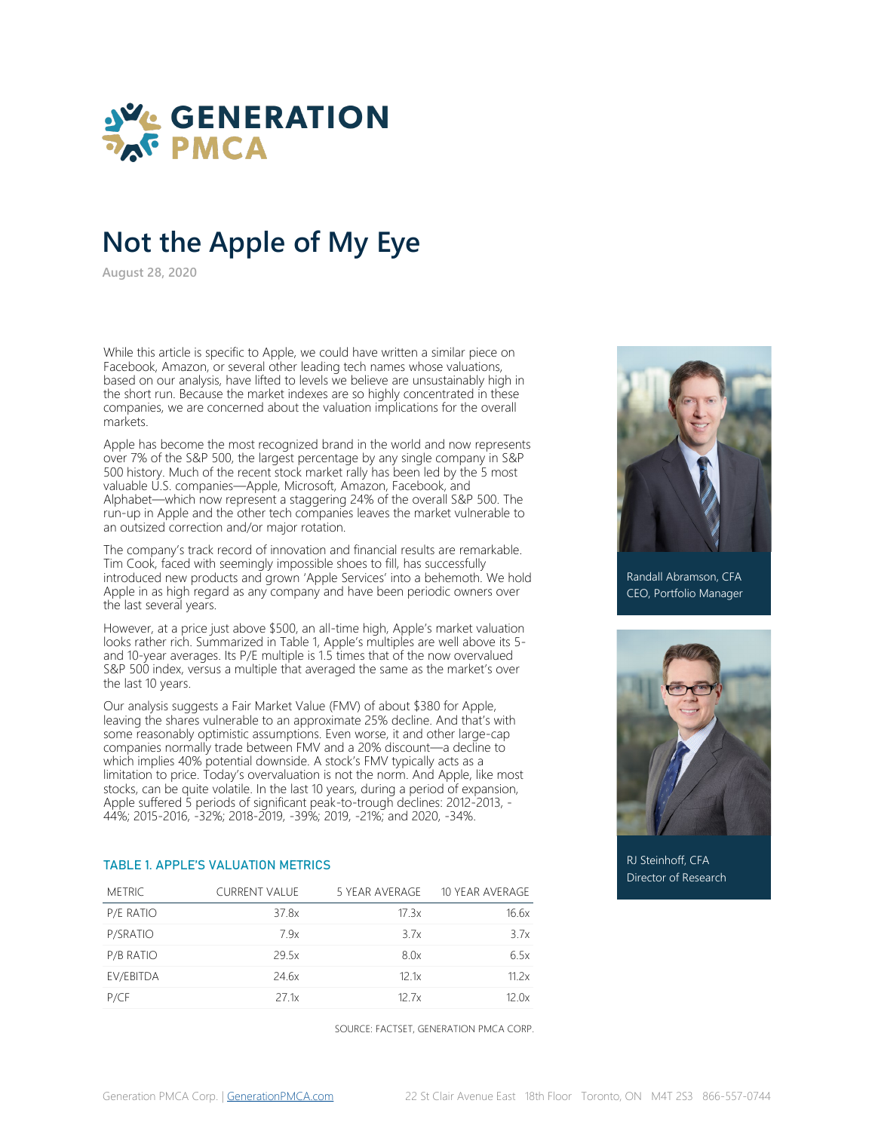

**August 28, 2020**

While this article is specific to Apple, we could have written a similar piece on Facebook, Amazon, or several other leading tech names whose valuations, based on our analysis, have lifted to levels we believe are unsustainably high in the short run. Because the market indexes are so highly concentrated in these companies, we are concerned about the valuation implications for the overall markets.

Apple has become the most recognized brand in the world and now represents over 7% of the S&P 500, the largest percentage by any single company in S&P 500 history. Much of the recent stock market rally has been led by the 5 most valuable U.S. companies—Apple, Microsoft, Amazon, Facebook, and Alphabet—which now represent a staggering 24% of the overall S&P 500. The run-up in Apple and the other tech companies leaves the market vulnerable to an outsized correction and/or major rotation.

The company's track record of innovation and financial results are remarkable. Tim Cook, faced with seemingly impossible shoes to fill, has successfully introduced new products and grown 'Apple Services' into a behemoth. We hold Apple in as high regard as any company and have been periodic owners over the last several years.

However, at a price just above \$500, an all-time high, Apple's market valuation looks rather rich. Summarized in Table 1, Apple's multiples are well above its 5 and 10-year averages. Its P/E multiple is 1.5 times that of the now overvalued S&P 500 index, versus a multiple that averaged the same as the market's over the last 10 years.

Our analysis suggests a Fair Market Value (FMV) of about \$380 for Apple, leaving the shares vulnerable to an approximate 25% decline. And that's with some reasonably optimistic assumptions. Even worse, it and other large-cap companies normally trade between FMV and a 20% discount—a decline to which implies 40% potential downside. A stock's FMV typically acts as a limitation to price. Today's overvaluation is not the norm. And Apple, like most stocks, can be quite volatile. In the last 10 years, during a period of expansion, Apple suffered 5 periods of significant peak-to-trough declines: 2012-2013, - 44%; 2015-2016, -32%; 2018-2019, -39%; 2019, -21%; and 2020, -34%.

### TABLE 1. APPLE'S VALUATION METRICS

| <b>METRIC</b> | <b>CURRENT VALUE</b> | 5 YEAR AVERAGE | 10 YEAR AVERAGE |
|---------------|----------------------|----------------|-----------------|
| P/E RATIO     | 37.8x                | 17.3x          | 16.6x           |
| P/SRATIO      | 7.9x                 | 3.7x           | 3.7x            |
| P/B RATIO     | 29.5x                | 8.0x           | 6.5x            |
| EV/EBITDA     | 24.6x                | 12.1x          | 11.2x           |
| P/CF          | 27.1x                | 12.7x          | 12.0x           |

SOURCE: FACTSET, GENERATION PMCA CORP.



Randall Abramson, CFA CEO, Portfolio Manager



RJ Steinhoff, CFA Director of Research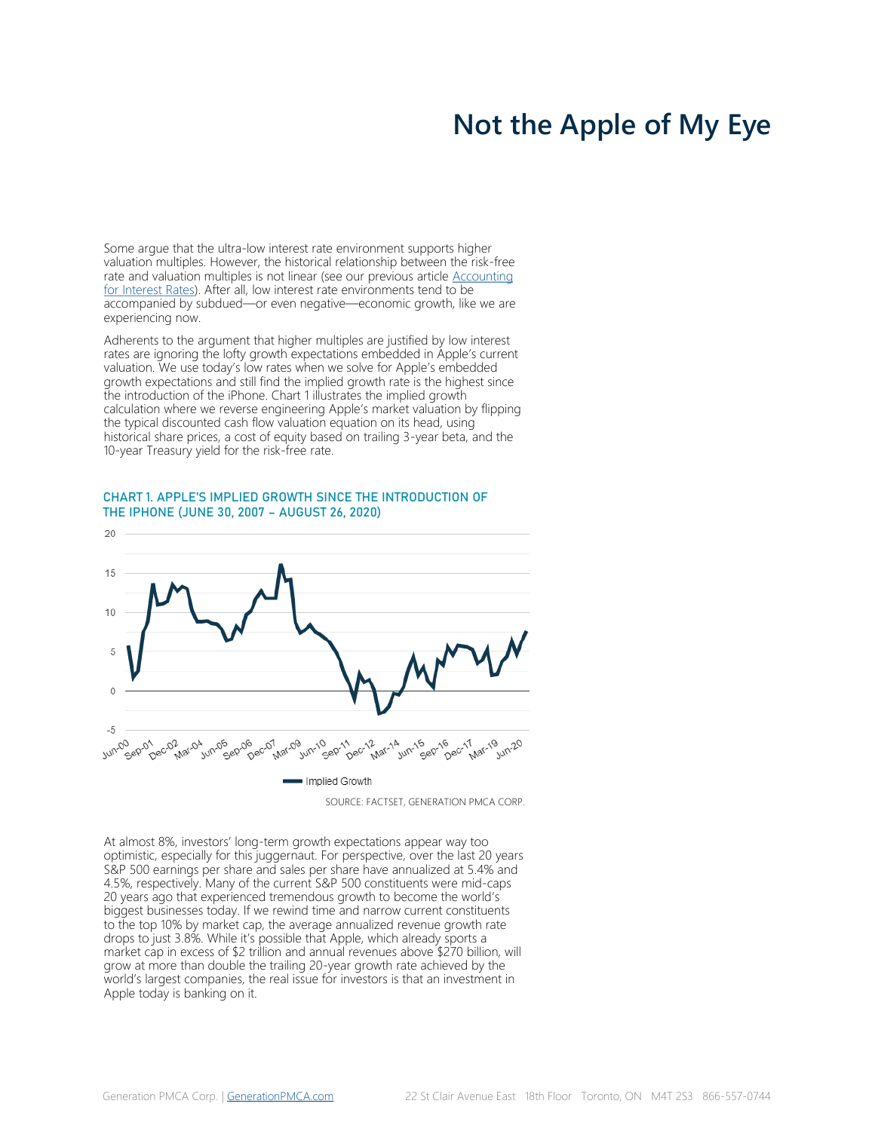Some argue that the ultra-low interest rate environment supports higher valuation multiples. However, the historical relationship between the risk-free rate and valuation multiples is not linear (see our previous article [Accounting](https://generationpmca.com/2020/02/04/accounting-for-interest-rates/)  [for Interest Rates\).](https://generationpmca.com/2020/02/04/accounting-for-interest-rates/) After all, low interest rate environments tend to be accompanied by subdued—or even negative—economic growth, like we are experiencing now.

Adherents to the argument that higher multiples are justified by low interest rates are ignoring the lofty growth expectations embedded in Apple's current valuation. We use today's low rates when we solve for Apple's embedded growth expectations and still find the implied growth rate is the highest since the introduction of the iPhone. Chart 1 illustrates the implied growth calculation where we reverse engineering Apple's market valuation by flipping the typical discounted cash flow valuation equation on its head, using historical share prices, a cost of equity based on trailing 3-year beta, and the 10-year Treasury yield for the risk-free rate.

### CHART 1. APPLE'S IMPLIED GROWTH SINCE THE INTRODUCTION OF THE IPHONE (JUNE 30, 2007 – AUGUST 26, 2020)



SOURCE: FACTSET, GENERATION PMCA CORP.

At almost 8%, investors' long-term growth expectations appear way too optimistic, especially for this juggernaut. For perspective, over the last 20 years S&P 500 earnings per share and sales per share have annualized at 5.4% and 4.5%, respectively. Many of the current S&P 500 constituents were mid-caps 20 years ago that experienced tremendous growth to become the world's biggest businesses today. If we rewind time and narrow current constituents to the top 10% by market cap, the average annualized revenue growth rate drops to just 3.8%. While it's possible that Apple, which already sports a market cap in excess of \$2 trillion and annual revenues above \$270 billion, will grow at more than double the trailing 20-year growth rate achieved by the world's largest companies, the real issue for investors is that an investment in Apple today is banking on it.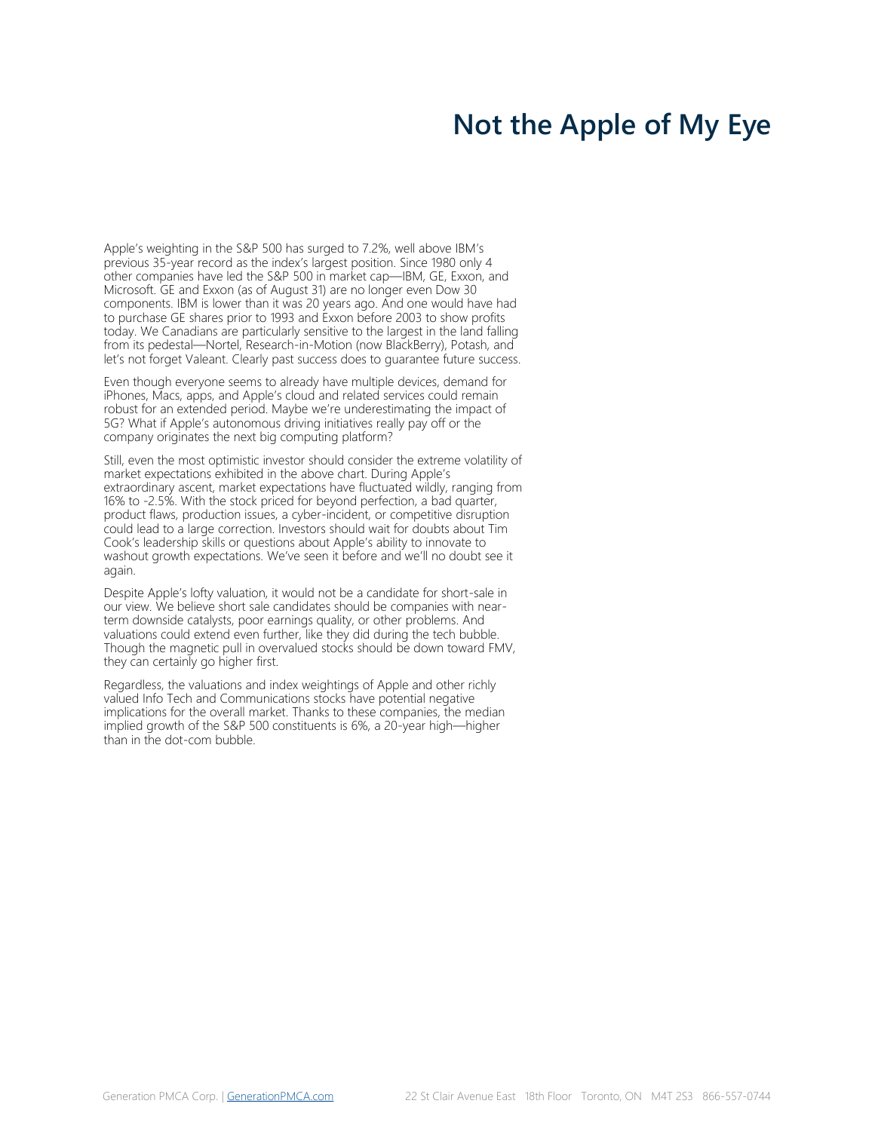Apple's weighting in the S&P 500 has surged to 7.2%, well above IBM's previous 35-year record as the index's largest position. Since 1980 only 4 other companies have led the S&P 500 in market cap—IBM, GE, Exxon, and Microsoft. GE and Exxon (as of August 31) are no longer even Dow 30 components. IBM is lower than it was 20 years ago. And one would have had to purchase GE shares prior to 1993 and Exxon before 2003 to show profits today. We Canadians are particularly sensitive to the largest in the land falling from its pedestal—Nortel, Research-in-Motion (now BlackBerry), Potash, and let's not forget Valeant. Clearly past success does to guarantee future success.

Even though everyone seems to already have multiple devices, demand for iPhones, Macs, apps, and Apple's cloud and related services could remain robust for an extended period. Maybe we're underestimating the impact of 5G? What if Apple's autonomous driving initiatives really pay off or the company originates the next big computing platform?

Still, even the most optimistic investor should consider the extreme volatility of market expectations exhibited in the above chart. During Apple's extraordinary ascent, market expectations have fluctuated wildly, ranging from 16% to -2.5%. With the stock priced for beyond perfection, a bad quarter, product flaws, production issues, a cyber-incident, or competitive disruption could lead to a large correction. Investors should wait for doubts about Tim Cook's leadership skills or questions about Apple's ability to innovate to washout growth expectations. We've seen it before and we'll no doubt see it again.

Despite Apple's lofty valuation, it would not be a candidate for short-sale in our view. We believe short sale candidates should be companies with nearterm downside catalysts, poor earnings quality, or other problems. And valuations could extend even further, like they did during the tech bubble. Though the magnetic pull in overvalued stocks should be down toward FMV, they can certainly go higher first.

Regardless, the valuations and index weightings of Apple and other richly valued Info Tech and Communications stocks have potential negative implications for the overall market. Thanks to these companies, the median implied growth of the S&P 500 constituents is 6%, a 20-year high—higher than in the dot-com bubble.